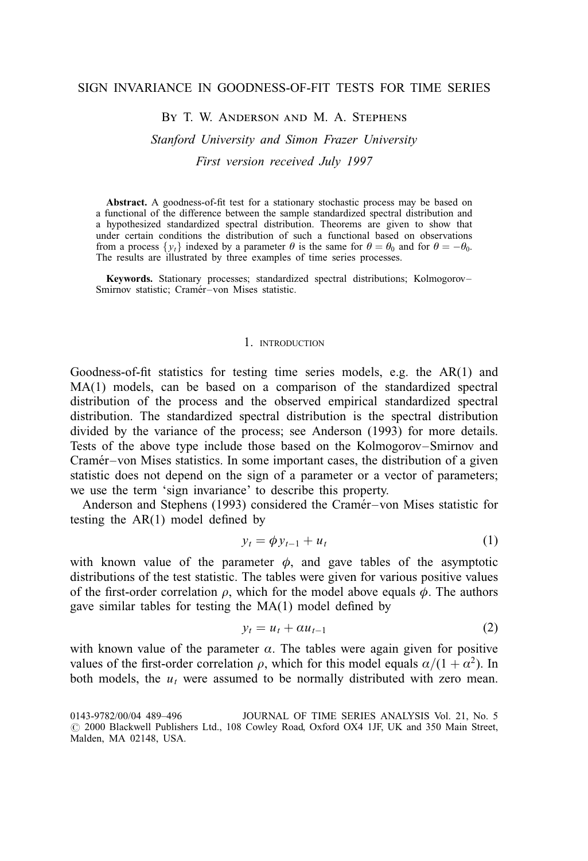# SIGN INVARIANCE IN GOODNESS-OF-FIT TESTS FOR TIME SERIES

By T. W. Anderson and M. A. Stephens

Stanford University and Simon Frazer University First version received July 1997

Abstract. A goodness-of-fit test for a stationary stochastic process may be based on a functional of the difference between the sample standardized spectral distribution and a hypothesized standardized spectral distribution. Theorems are given to show that under certain conditions the distribution of such a functional based on observations from a process  $\{v_t\}$  indexed by a parameter  $\theta$  is the same for  $\theta = \theta_0$  and for  $\theta = -\theta_0$ . The results are illustrated by three examples of time series processes.

Keywords. Stationary processes; standardized spectral distributions; Kolmogorov-Smirnov statistic: Cramér-von Mises statistic.

#### 1. INTRODUCTION

Goodness-of-fit statistics for testing time series models, e.g. the  $AR(1)$  and MA(1) models, can be based on a comparison of the standardized spectral distribution of the process and the observed empirical standardized spectral distribution. The standardized spectral distribution is the spectral distribution divided by the variance of the process; see Anderson (1993) for more details. Tests of the above type include those based on the Kolmogorov–Smirnov and Cramér–von Mises statistics. In some important cases, the distribution of a given statistic does not depend on the sign of a parameter or a vector of parameters; we use the term `sign invariance' to describe this property.

Anderson and Stephens (1993) considered the Cramér–von Mises statistic for testing the  $AR(1)$  model defined by

$$
y_t = \phi y_{t-1} + u_t \tag{1}
$$

with known value of the parameter  $\phi$ , and gave tables of the asymptotic distributions of the test statistic. The tables were given for various positive values of the first-order correlation  $\rho$ , which for the model above equals  $\phi$ . The authors gave similar tables for testing the  $MA(1)$  model defined by

$$
y_t = u_t + \alpha u_{t-1} \tag{2}
$$

with known value of the parameter  $\alpha$ . The tables were again given for positive values of the first-order correlation  $\rho$ , which for this model equals  $\alpha/(1 + \alpha^2)$ . In both models, the  $u_t$  were assumed to be normally distributed with zero mean.

<sup>0143-9782/00/04 489-496</sup> JOURNAL OF TIME SERIES ANALYSIS Vol. 21, No. 5  $\odot$  2000 Blackwell Publishers Ltd., 108 Cowley Road, Oxford OX4 1JF, UK and 350 Main Street, Malden, MA 02148, USA.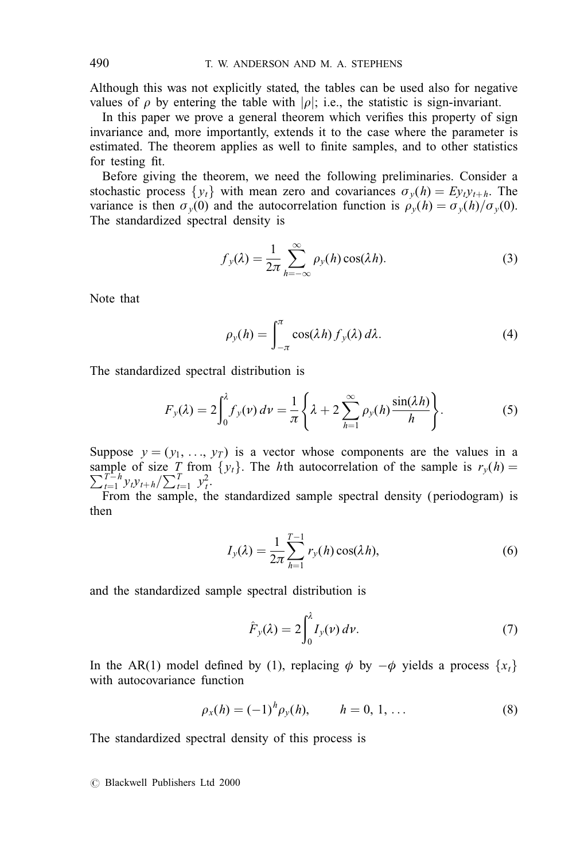Although this was not explicitly stated, the tables can be used also for negative values of  $\rho$  by entering the table with  $|\rho|$ ; i.e., the statistic is sign-invariant.

In this paper we prove a general theorem which verifies this property of sign invariance and, more importantly, extends it to the case where the parameter is estimated. The theorem applies as well to finite samples, and to other statistics for testing fit.

Before giving the theorem, we need the following preliminaries. Consider a stochastic process  $\{y_t\}$  with mean zero and covariances  $\sigma_y(h) = E y_t y_{t+h}$ . The variance is then  $\sigma_v(0)$  and the autocorrelation function is  $\rho_v(h) = \sigma_v(h)/\sigma_v(0)$ . The standardized spectral density is

$$
f_y(\lambda) = \frac{1}{2\pi} \sum_{h=-\infty}^{\infty} \rho_y(h) \cos(\lambda h).
$$
 (3)

Note that

$$
\rho_{y}(h) = \int_{-\pi}^{\pi} \cos(\lambda h) f_{y}(\lambda) d\lambda.
$$
 (4)

The standardized spectral distribution is

$$
F_y(\lambda) = 2 \int_0^{\lambda} f_y(\nu) d\nu = \frac{1}{\pi} \left\{ \lambda + 2 \sum_{h=1}^{\infty} \rho_y(h) \frac{\sin(\lambda h)}{h} \right\}.
$$
 (5)

Suppose  $y = (y_1, \ldots, y_T)$  is a vector whose components are the values in a  $\sum_{t=1}^{T-h} y_t y_{t+h} / \sum_{t=1}^{T} y_t^2$ . sample of size T from  $\{y_t\}$ . The hth autocorrelation of the sample is  $r_y(h) =$ 

From the sample, the standardized sample spectral density (periodogram) is then

$$
I_{y}(\lambda) = \frac{1}{2\pi} \sum_{h=1}^{T-1} r_{y}(h) \cos(\lambda h), \qquad (6)
$$

and the standardized sample spectral distribution is

$$
\hat{F}_y(\lambda) = 2 \int_0^{\lambda} I_y(\nu) \, d\nu. \tag{7}
$$

In the AR(1) model defined by (1), replacing  $\phi$  by  $-\phi$  yields a process  $\{x_t\}$ with autocovariance function

$$
\rho_x(h) = (-1)^h \rho_y(h), \qquad h = 0, 1, ... \tag{8}
$$

The standardized spectral density of this process is

 $\odot$  Blackwell Publishers Ltd 2000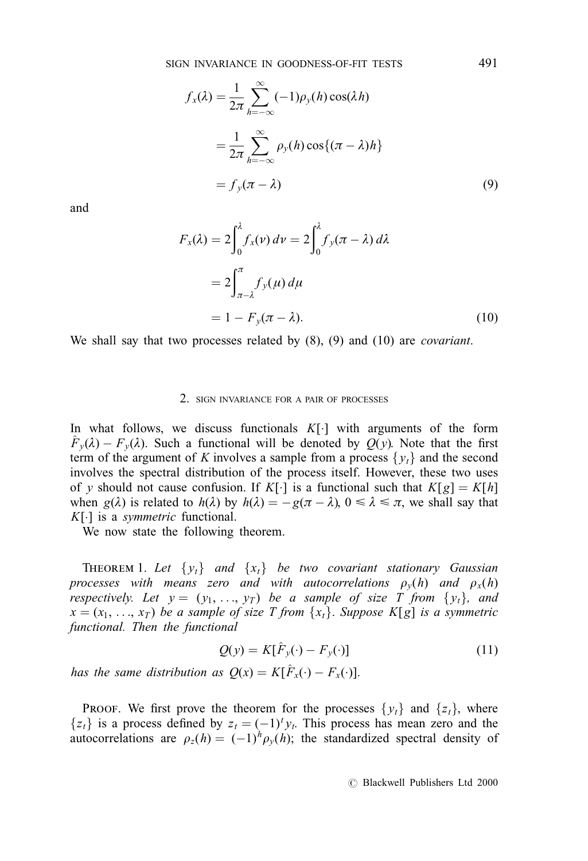$$
f_x(\lambda) = \frac{1}{2\pi} \sum_{h=-\infty}^{\infty} (-1)\rho_y(h) \cos(\lambda h)
$$
  
= 
$$
\frac{1}{2\pi} \sum_{h=-\infty}^{\infty} \rho_y(h) \cos\{(\pi - \lambda)h\}
$$
  
= 
$$
f_y(\pi - \lambda)
$$
 (9)

and

$$
F_x(\lambda) = 2 \int_0^{\lambda} f_x(\nu) d\nu = 2 \int_0^{\lambda} f_y(\pi - \lambda) d\lambda
$$
  
= 
$$
2 \int_{\pi - \lambda}^{\pi} f_y(\mu) d\mu
$$
  
= 
$$
1 - F_y(\pi - \lambda).
$$
 (10)

We shall say that two processes related by  $(8)$ ,  $(9)$  and  $(10)$  are *covariant*.

#### 2. SIGN INVARIANCE FOR A PAIR OF PROCESSES

In what follows, we discuss functionals  $K[\cdot]$  with arguments of the form  $F_v(\lambda) - F_v(\lambda)$ . Such a functional will be denoted by  $Q(y)$ . Note that the first term of the argument of K involves a sample from a process  $\{y_t\}$  and the second involves the spectral distribution of the process itself. However, these two uses of y should not cause confusion. If  $K[\cdot]$  is a functional such that  $K[g] = K[h]$ when  $g(\lambda)$  is related to  $h(\lambda)$  by  $h(\lambda) = -g(\pi - \lambda)$ ,  $0 \le \lambda \le \pi$ , we shall say that  $K[\cdot]$  is a *symmetric* functional.

We now state the following theorem.

THEOREM 1. Let  $\{y_t\}$  and  $\{x_t\}$  be two covariant stationary Gaussian processes with means zero and with autocorrelations  $\rho_{\nu}(h)$  and  $\rho_{\nu}(h)$ respectively. Let  $y = (y_1, ..., y_T)$  be a sample of size T from  $\{y_t\}$ , and  $x = (x_1, \ldots, x_T)$  be a sample of size T from  $\{x_t\}$ . Suppose K[g] is a symmetric functional. Then the functional

$$
Q(y) = K[\hat{F}_y(\cdot) - F_y(\cdot)]\tag{11}
$$

has the same distribution as  $Q(x) = K[\hat{F}_x(\cdot) - F_x(\cdot)].$ 

**PROOF.** We first prove the theorem for the processes  $\{y_t\}$  and  $\{z_t\}$ , where  ${z_t}$  is a process defined by  $z_t = (-1)^t y_t$ . This process has mean zero and the autocorrelations are  $\rho_z(h) = (-1)^h \rho_y(h)$ ; the standardized spectral density of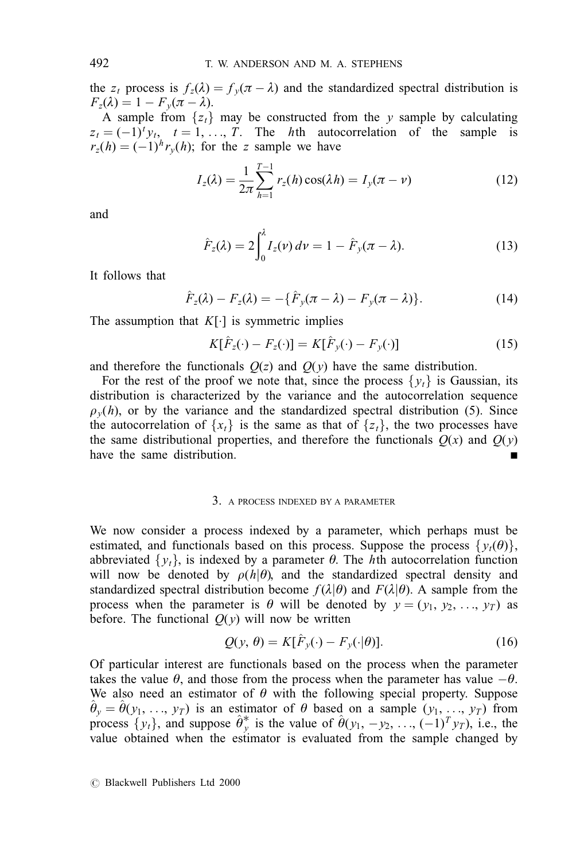the  $z_t$  process is  $f_z(\lambda) = f_y(\pi - \lambda)$  and the standardized spectral distribution is  $F_z(\lambda) = 1 - F_y(\pi - \lambda).$ 

A sample from  $\{z_t\}$  may be constructed from the y sample by calculating  $z_t = (-1)^t y_t$ ,  $t = 1, ..., T$ . The hth autocorrelation of the sample is  $r_z(h) = (-1)^h r_y(h)$ ; for the z sample we have

$$
I_z(\lambda) = \frac{1}{2\pi} \sum_{h=1}^{T-1} r_z(h) \cos(\lambda h) = I_y(\pi - \nu)
$$
 (12)

and

$$
\hat{F}_z(\lambda) = 2 \int_0^{\lambda} I_z(\nu) \, d\nu = 1 - \hat{F}_y(\pi - \lambda). \tag{13}
$$

It follows that

$$
\hat{F}_z(\lambda) - F_z(\lambda) = -\{\hat{F}_y(\pi - \lambda) - F_y(\pi - \lambda)\}.
$$
\n(14)

The assumption that  $K[\cdot]$  is symmetric implies

$$
K[\hat{F}_z(\cdot) - F_z(\cdot)] = K[\hat{F}_y(\cdot) - F_y(\cdot)]
$$
\n(15)

and therefore the functionals  $Q(z)$  and  $Q(y)$  have the same distribution.

For the rest of the proof we note that, since the process  $\{v_t\}$  is Gaussian, its distribution is characterized by the variance and the autocorrelation sequence  $\rho_{v}(h)$ , or by the variance and the standardized spectral distribution (5). Since the autocorrelation of  $\{x_t\}$  is the same as that of  $\{z_t\}$ , the two processes have the same distributional properties, and therefore the functionals  $Q(x)$  and  $Q(y)$ have the same distribution.

### 3. A PROCESS INDEXED BY A PARAMETER

We now consider a process indexed by a parameter, which perhaps must be estimated, and functionals based on this process. Suppose the process  $\{y_t(\theta)\}\,$ , abbreviated  $\{y_t\}$ , is indexed by a parameter  $\theta$ . The hth autocorrelation function will now be denoted by  $\rho(h|\theta)$ , and the standardized spectral density and standardized spectral distribution become  $f(\lambda|\theta)$  and  $F(\lambda|\theta)$ . A sample from the process when the parameter is  $\theta$  will be denoted by  $y = (y_1, y_2, ..., y_T)$  as before. The functional  $Q(y)$  will now be written

$$
Q(y, \theta) = K[\hat{F}_y(\cdot) - F_y(\cdot|\theta)].
$$
\n(16)

Of particular interest are functionals based on the process when the parameter takes the value  $\theta$ , and those from the process when the parameter has value  $-\theta$ . We also need an estimator of  $\theta$  with the following special property. Suppose  $\hat{\theta}_v = \hat{\theta}(y_1, \ldots, y_T)$  is an estimator of  $\theta$  based on a sample  $(y_1, \ldots, y_T)$  from process  $\{y_t\}$ , and suppose  $\hat{\theta}_y^*$  is the value of  $\hat{\theta}(y_1, -y_2, ..., (-1)^T y_T)$ , i.e., the value obtained when the estimator is evaluated from the sample changed by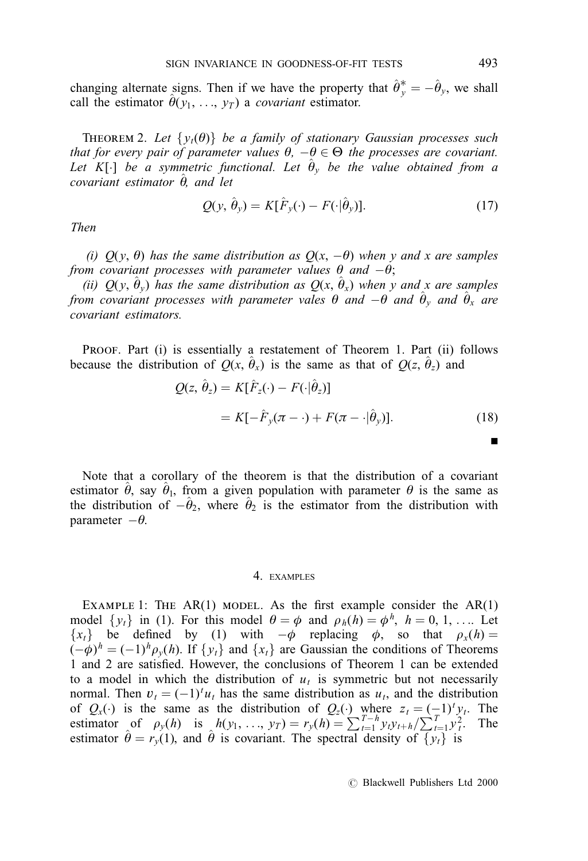changing alternate signs. Then if we have the property that  $\hat{\theta}_{y}^{*} = -\hat{\theta}_{y}$ , we shall call the estimator  $\hat{\theta}(y_1, \ldots, y_T)$  a *covariant* estimator.

THEOREM 2. Let  $\{y_t(\theta)\}\$  be a family of stationary Gaussian processes such that for every pair of parameter values  $\theta$ ,  $-\theta \in \Theta$  the processes are covariant. Let K[ $\cdot$ ] be a symmetric functional. Let  $\hat{\theta}_v$  be the value obtained from a covariant estimator  $\hat{\theta}$ , and let

$$
Q(y, \hat{\theta}_y) = K[\hat{F}_y(\cdot) - F(\cdot|\hat{\theta}_y)].
$$
\n(17)

Then

(i)  $O(y, \theta)$  has the same distribution as  $O(x, -\theta)$  when y and x are samples from covariant processes with parameter values  $\theta$  and  $-\theta$ ;

(ii)  $Q(y, \hat{\theta}_y)$  has the same distribution as  $Q(x, \hat{\theta}_x)$  when y and x are samples from covariant processes with parameter vales  $\theta$  and  $-\theta$  and  $\hat{\theta}_y$  and  $\hat{\theta}_x$  are covariant estimators.

PROOF. Part (i) is essentially a restatement of Theorem 1. Part (ii) follows because the distribution of  $Q(x, \theta_x)$  is the same as that of  $Q(z, \theta_z)$  and

$$
Q(z, \hat{\theta}_z) = K[\hat{F}_z(\cdot) - F(\cdot|\hat{\theta}_z)]
$$
  
=  $K[-\hat{F}_y(\pi - \cdot) + F(\pi - \cdot|\hat{\theta}_y)].$  (18)

Note that a corollary of the theorem is that the distribution of a covariant estimator  $\hat{\theta}$ , say  $\hat{\theta}_1$ , from a given population with parameter  $\theta$  is the same as the distribution of  $-\hat{\theta}_2$ , where  $\hat{\theta}_2$  is the estimator from the distribution with parameter  $-\theta$ .

# 4. EXAMPLES

EXAMPLE 1: THE AR(1) MODEL. As the first example consider the  $AR(1)$ model  $\{y_t\}$  in (1). For this model  $\theta = \phi$  and  $\rho_h(h) = \phi^h$ ,  $h = 0, 1, \dots$  Let  ${x_t}$  be defined by (1) with  $-\phi$  replacing  $\phi$ , so that  $\rho_x(h) =$  $(-\phi)^h = (-1)^h \rho_v(h)$ . If  $\{y_t\}$  and  $\{x_t\}$  are Gaussian the conditions of Theorems 1 and 2 are satisfied. However, the conclusions of Theorem 1 can be extended to a model in which the distribution of  $u_t$  is symmetric but not necessarily normal. Then  $v_t = (-1)^t u_t$  has the same distribution as  $u_t$ , and the distribution of  $Q_x(\cdot)$  is the same as the distribution of  $Q_z(\cdot)$  where  $z_t = (-1)^t y_t$ . The estimator of  $\rho_y(h)$  is  $h(y_1, ..., y_T) = r_y(h) = \sum_{t=1}^{T-h} y_t y_{t+h} / \sum_{t=1}^{T} y_t^2$ . The estimator  $\theta = r_y(1)$ , and  $\theta$  is covariant. The spectral density of  $\{y_t\}$  is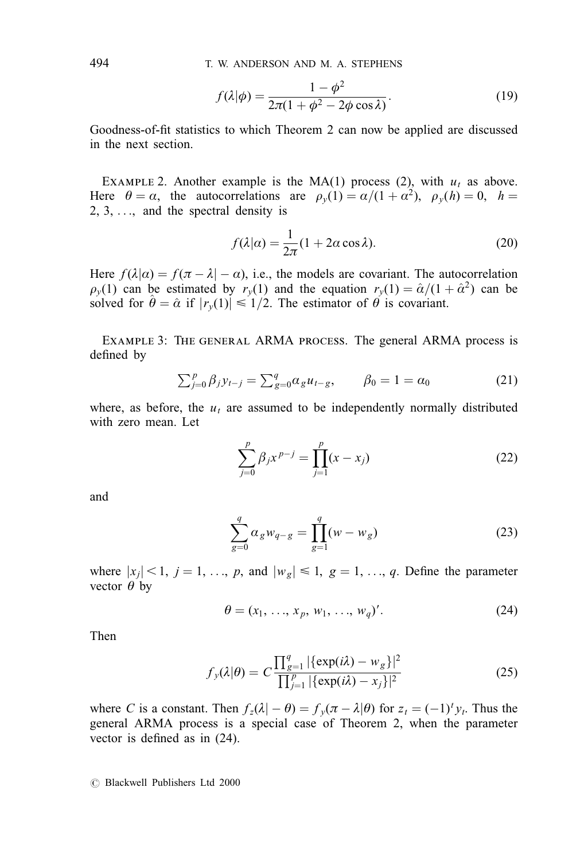494 T. W. ANDERSON AND M. A. STEPHENS

$$
f(\lambda|\phi) = \frac{1 - \phi^2}{2\pi(1 + \phi^2 - 2\phi\cos\lambda)}.
$$
 (19)

Goodness-of-fit statistics to which Theorem 2 can now be applied are discussed in the next section.

EXAMPLE 2. Another example is the MA(1) process (2), with  $u_t$  as above. Here  $\theta = \alpha$ , the autocorrelations are  $\rho_{\nu}(1) = \alpha/(1 + \alpha^2)$ ,  $\rho_{\nu}(h) = 0$ ,  $h =$ 2, 3, ..., and the spectral density is

$$
f(\lambda|\alpha) = \frac{1}{2\pi} (1 + 2\alpha \cos \lambda).
$$
 (20)

Here  $f(\lambda|\alpha) = f(\pi - \lambda | - \alpha)$ , i.e., the models are covariant. The autocorrelation  $\rho_{\nu}(1)$  can be estimated by  $r_{\nu}(1)$  and the equation  $r_{\nu}(1) = \hat{\alpha}/(1 + \hat{\alpha}^2)$  can be solved for  $\hat{\theta} = \hat{\alpha}$  if  $|r_v(1)| \leq 1/2$ . The estimator of  $\hat{\theta}$  is covariant.

Example 3: The general ARMA process. The general ARMA process is defined by

$$
\sum_{j=0}^{p} \beta_j y_{t-j} = \sum_{g=0}^{q} \alpha_g u_{t-g}, \qquad \beta_0 = 1 = \alpha_0 \tag{21}
$$

where, as before, the  $u_t$  are assumed to be independently normally distributed with zero mean. Let

$$
\sum_{j=0}^{p} \beta_j x^{p-j} = \prod_{j=1}^{p} (x - x_j)
$$
 (22)

and

$$
\sum_{g=0}^{q} \alpha_g w_{q-g} = \prod_{g=1}^{q} (w - w_g)
$$
 (23)

where  $|x_j| < 1$ ,  $j = 1, \ldots, p$ , and  $|w_g| \le 1$ ,  $g = 1, \ldots, q$ . Define the parameter vector  $\theta$  by

$$
\theta = (x_1, \ldots, x_p, w_1, \ldots, w_q)'. \tag{24}
$$

Then

$$
f_{y}(\lambda|\theta) = C \frac{\prod_{g=1}^{q} |\{\exp(i\lambda) - w_{g}\}|^{2}}{\prod_{j=1}^{p} |\{\exp(i\lambda) - x_{j}\}|^{2}}
$$
(25)

where C is a constant. Then  $f_z(\lambda | - \theta) = f_y(\pi - \lambda | \theta)$  for  $z_t = (-1)^t y_t$ . Thus the general ARMA process is a special case of Theorem 2, when the parameter vector is defined as in  $(24)$ .

 $\odot$  Blackwell Publishers Ltd 2000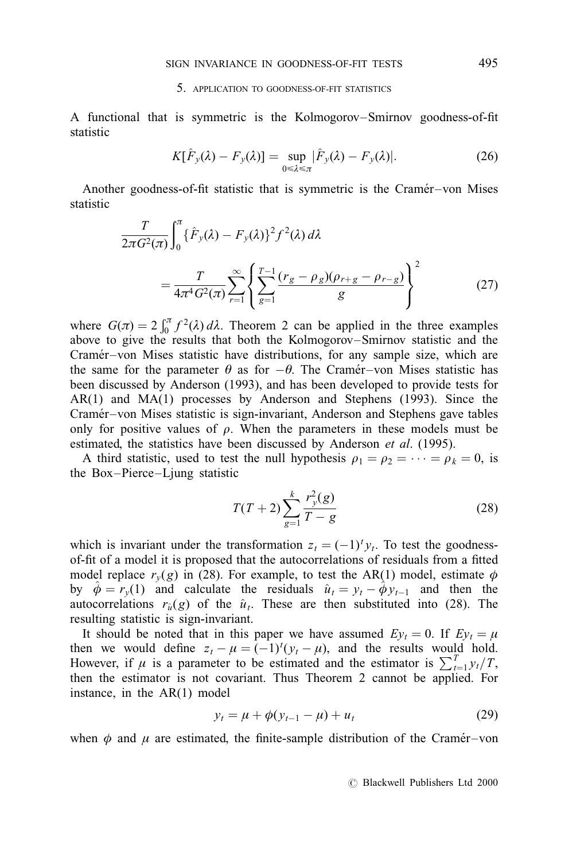#### 5. APPLICATION TO GOODNESS-OF-FIT STATISTICS

A functional that is symmetric is the Kolmogorov–Smirnov goodness-of-fit statistic

$$
K[\hat{F}_y(\lambda) - F_y(\lambda)] = \sup_{0 \le \lambda \le \pi} |\hat{F}_y(\lambda) - F_y(\lambda)|. \tag{26}
$$

Another goodness-of-fit statistic that is symmetric is the Cramér-von Mises statistic

$$
\frac{T}{2\pi G^2(\pi)} \int_0^{\pi} {\{\hat{F}_y(\lambda) - F_y(\lambda)\} }^2 f^2(\lambda) d\lambda
$$
  
= 
$$
\frac{T}{4\pi^4 G^2(\pi)} \sum_{r=1}^{\infty} {\left\{ \sum_{g=1}^{T-1} \frac{(r_g - \rho_g)(\rho_{r+g} - \rho_{r-g})}{g} \right\} }^2
$$
(27)

where  $G(\pi) = 2 \int_0^{\pi} f^2(\lambda) d\lambda$ . Theorem 2 can be applied in the three examples above to give the results that both the Kolmogorov-Smirnov statistic and the Cramér-von Mises statistic have distributions, for any sample size, which are the same for the parameter  $\theta$  as for  $-\theta$ . The Crame -von Mises statistic has been discussed by Anderson (1993), and has been developed to provide tests for AR(1) and MA(1) processes by Anderson and Stephens (1993). Since the Cramér-von Mises statistic is sign-invariant, Anderson and Stephens gave tables only for positive values of  $\rho$ . When the parameters in these models must be estimated, the statistics have been discussed by Anderson *et al.* (1995).

A third statistic, used to test the null hypothesis  $\rho_1 = \rho_2 = \cdots = \rho_k = 0$ , is the Box–Pierce–Ljung statistic

$$
T(T+2)\sum_{g=1}^{k} \frac{r_y^2(g)}{T-g}
$$
 (28)

which is invariant under the transformation  $z_t = (-1)^t v_t$ . To test the goodnessof-fit of a model it is proposed that the autocorrelations of residuals from a fitted model replace  $r_v(g)$  in (28). For example, to test the AR(1) model, estimate  $\phi$ by  $\hat{\phi} = r_v(1)$  and calculate the residuals  $\hat{u}_t = y_t - \hat{\phi} y_{t-1}$  and then the autocorrelations  $r_{\hat{u}}(g)$  of the  $\hat{u}_t$ . These are then substituted into (28). The resulting statistic is sign-invariant.

It should be noted that in this paper we have assumed  $E_{y_t} = 0$ . If  $E_{y_t} = \mu$ then we would define  $z_t - \mu = (-1)^t (y_t - \mu)$ , and the results would hold. However, if  $\mu$  is a parameter to be estimated and the estimator is  $\sum_{t=1}^{T} y_t/T$ , then the estimator is not covariant. Thus Theorem 2 cannot be applied. For instance, in the AR(1) model

$$
y_t = \mu + \phi(y_{t-1} - \mu) + u_t \tag{29}
$$

when  $\phi$  and  $\mu$  are estimated, the finite-sample distribution of the Cramer-von